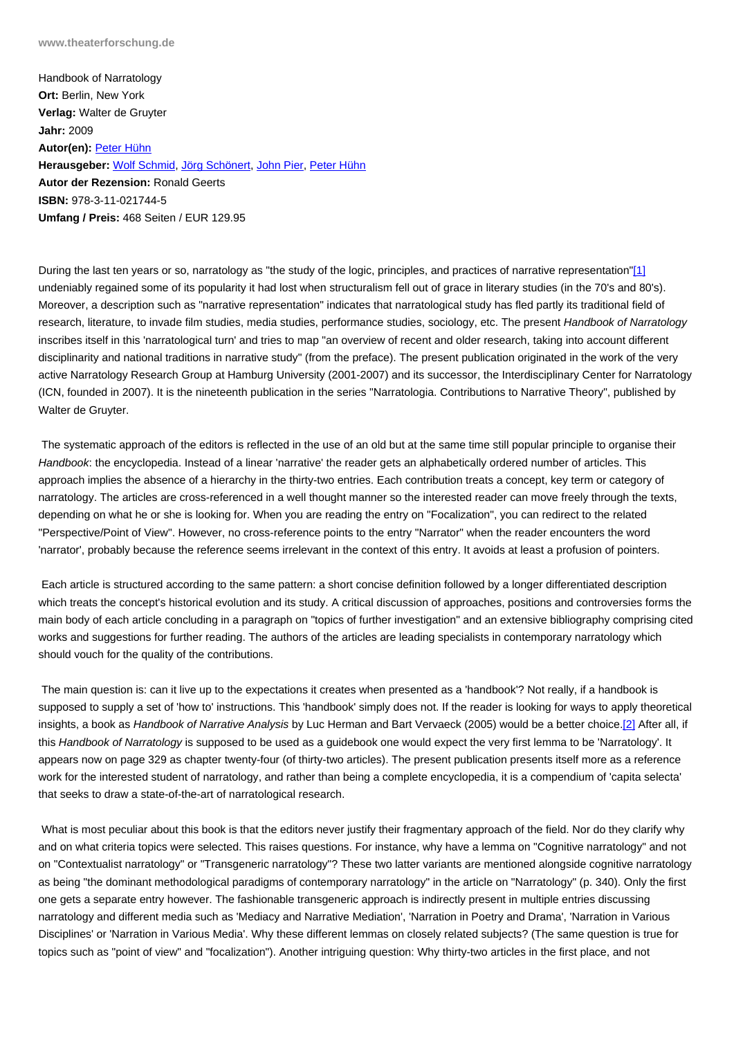Handbook of Narratology **Ort: Berlin, New York Verlag:** Walter de Gruyter **Jahr:** 2009 **Autor(en):** Peter Hühn **Herausgeber:** Wolf Schmid, Jörg Schönert, John Pier, Peter Hühn **Autor der Rezension:** Ronald Geerts **ISBN:** 978-[3-11-021744](autor.php4?ID=1035)-5 **Umfang / Preis:** [468 Seiten](herausgeber.php4?ID=511) [/ EUR 129.95](herausgeber.php4?ID=516)

During the last ten years or so, narratology as "the study of the logic, principles, and practices of narrative representation"[1] undeniably regained some of its popularity it had lost when structuralism fell out of grace in literary studies (in the 70's and 80's). Moreover, a description such as "narrative representation" indicates that narratological study has fled partly its traditional field of research, literature, to invade film studies, media studies, performance studies, sociology, etc. The present Handbook of Narratology inscribes itself in this 'narratological turn' and tries to map "an overview of recent and older research, taking into account [diffe](#[1])rent disciplinarity and national traditions in narrative study" (from the preface). The present publication originated in the work of the very active Narratology Research Group at Hamburg University (2001-2007) and its successor, the Interdisciplinary Center for Narratology (ICN, founded in 2007). It is the nineteenth publication in the series "Narratologia. Contributions to Narrative Theory", published by Walter de Gruyter.

 The systematic approach of the editors is reflected in the use of an old but at the same time still popular principle to organise their Handbook: the encyclopedia. Instead of a linear 'narrative' the reader gets an alphabetically ordered number of articles. This approach implies the absence of a hierarchy in the thirty-two entries. Each contribution treats a concept, key term or category of narratology. The articles are cross-referenced in a well thought manner so the interested reader can move freely through the texts, depending on what he or she is looking for. When you are reading the entry on "Focalization", you can redirect to the related "Perspective/Point of View". However, no cross-reference points to the entry "Narrator" when the reader encounters the word 'narrator', probably because the reference seems irrelevant in the context of this entry. It avoids at least a profusion of pointers.

 Each article is structured according to the same pattern: a short concise definition followed by a longer differentiated description which treats the concept's historical evolution and its study. A critical discussion of approaches, positions and controversies forms the main body of each article concluding in a paragraph on "topics of further investigation" and an extensive bibliography comprising cited works and suggestions for further reading. The authors of the articles are leading specialists in contemporary narratology which should vouch for the quality of the contributions.

 The main question is: can it live up to the expectations it creates when presented as a 'handbook'? Not really, if a handbook is supposed to supply a set of 'how to' instructions. This 'handbook' simply does not. If the reader is looking for ways to apply theoretical insights, a book as Handbook of Narrative Analysis by Luc Herman and Bart Vervaeck (2005) would be a better choice.[2] After all, if this Handbook of Narratology is supposed to be used as a guidebook one would expect the very first lemma to be 'Narratology'. It appears now on page 329 as chapter twenty-four (of thirty-two articles). The present publication presents itself more as a reference work for the interested student of narratology, and rather than being a complete encyclopedia, it is a compendium of 'c[apit](#[2])a selecta' that seeks to draw a state-of-the-art of narratological research.

 What is most peculiar about this book is that the editors never justify their fragmentary approach of the field. Nor do they clarify why and on what criteria topics were selected. This raises questions. For instance, why have a lemma on "Cognitive narratology" and not on "Contextualist narratology" or "Transgeneric narratology"? These two latter variants are mentioned alongside cognitive narratology as being "the dominant methodological paradigms of contemporary narratology" in the article on "Narratology" (p. 340). Only the first one gets a separate entry however. The fashionable transgeneric approach is indirectly present in multiple entries discussing narratology and different media such as 'Mediacy and Narrative Mediation', 'Narration in Poetry and Drama', 'Narration in Various Disciplines' or 'Narration in Various Media'. Why these different lemmas on closely related subjects? (The same question is true for topics such as "point of view" and "focalization"). Another intriguing question: Why thirty-two articles in the first place, and not